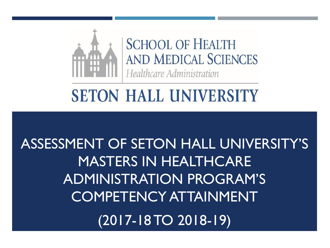

# **SETON HALL UNIVERSITY**

# ASSESSMENT OF SETON HALL UNIVERSITY'S MASTERS IN HEALTHCARE ADMINISTRATION PROGRAM'S COMPETENCY ATTAINMENT (2017-18 TO 2018-19)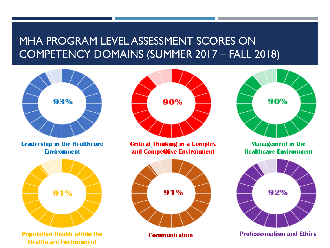### MHA PROGRAM LEVEL ASSESSMENT SCORES ON COMPETENCY DOMAINS (SUMMER 2017 – FALL 2018)



**Leadership in the Healthcare Environment**



**Healthcare Environment Population Health within the Communication Communication Professionalism and Ethics** 



**Critical Thinking in a Complex and Competitive Environment**



**Communication**



**Management in the Healthcare Environment**

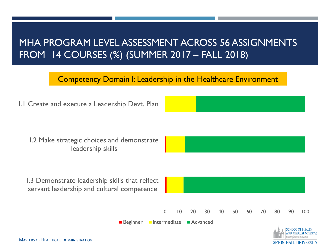

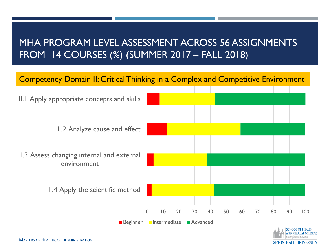#### Competency Domain II: Critical Thinking in a Complex and Competitive Environment



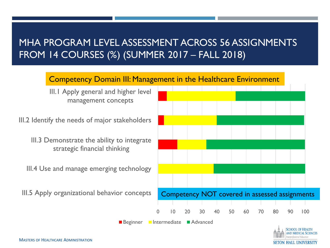Competency Domain III: Management in the Healthcare Environment

III.1 Apply general and higher level management concepts

III.2 Identify the needs of major stakeholders

III.3 Demonstrate the ability to integrate strategic financial thinking

III.4 Use and manage emerging technology

III.5 Apply organizational behavior concepts



Beginner Intermediate Advanced

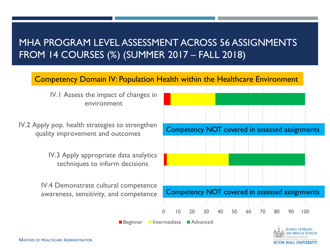Competency Domain IV: Population Health within the Healthcare Environment

IV.1 Assess the impact of changes in environment

IV.2 Apply pop. health strategies to strengthen quality improvement and outcomes

> IV.3 Apply appropriate data analytics techniques to inform decisions

IV.4 Demonstrate cultural competence awareness, sensitivity, and competence



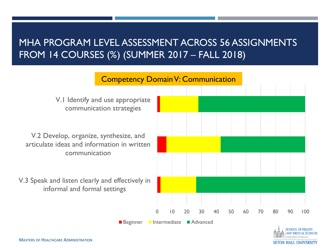

V.1 Identify and use appropriate communication strategies

V.2 Develop, organize, synthesize, and articulate ideas and information in written communication

V.3 Speak and listen clearly and effectively in informal and formal settings



Beginner Intermediate Advanced

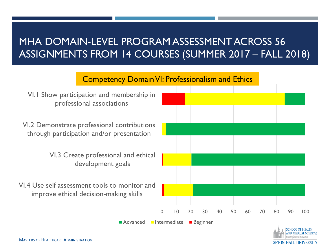#### MHA DOMAIN-LEVEL PROGRAM ASSESSMENT ACROSS 56 ASSIGNMENTS FROM 14 COURSES (SUMMER 2017 – FALL 2018)

#### Competency Domain VI: Professionalism and Ethics



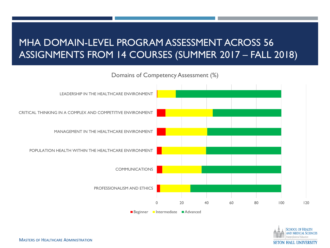#### MHA DOMAIN-LEVEL PROGRAM ASSESSMENT ACROSS 56 ASSIGNMENTS FROM 14 COURSES (SUMMER 2017 – FALL 2018)

Domains of Competency Assessment (%)



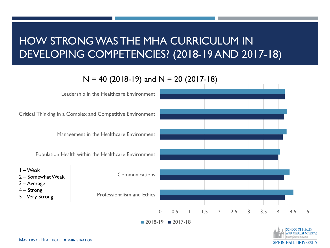## HOW STRONG WAS THE MHA CURRICULUM IN DEVELOPING COMPETENCIES? (2018-19 AND 2017-18)

 $N = 40$  (2018-19) and  $N = 20$  (2017-18)